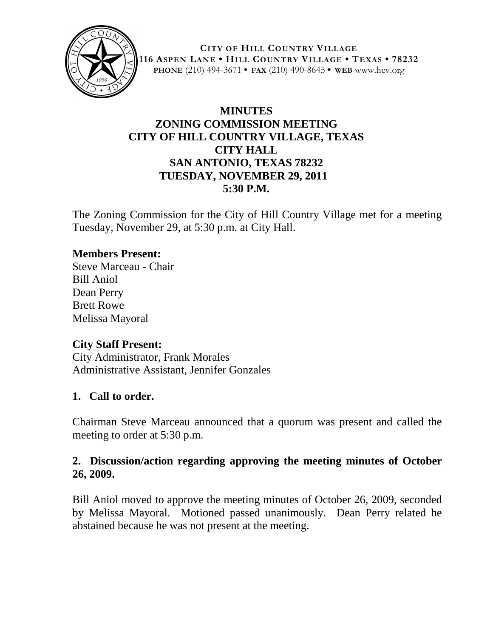

**CITY OF HILL COUNTRY VILLAGE 116 ASPEN LANE • HILL COUNTRY VILLAGE • TEXAS • 78232 PHONE** (210) 494-3671 **• FAX** (210) 490-8645 **• WEB** www.hcv.org

# **MINUTES ZONING COMMISSION MEETING CITY OF HILL COUNTRY VILLAGE, TEXAS CITY HALL SAN ANTONIO, TEXAS 78232 TUESDAY, NOVEMBER 29, 2011 5:30 P.M.**

The Zoning Commission for the City of Hill Country Village met for a meeting Tuesday, November 29, at 5:30 p.m. at City Hall.

### **Members Present:**

Steve Marceau - Chair Bill Aniol Dean Perry Brett Rowe Melissa Mayoral

#### **City Staff Present:**

City Administrator, Frank Morales Administrative Assistant, Jennifer Gonzales

#### **1. Call to order.**

Chairman Steve Marceau announced that a quorum was present and called the meeting to order at 5:30 p.m.

### **2. Discussion/action regarding approving the meeting minutes of October 26, 2009.**

Bill Aniol moved to approve the meeting minutes of October 26, 2009, seconded by Melissa Mayoral. Motioned passed unanimously. Dean Perry related he abstained because he was not present at the meeting.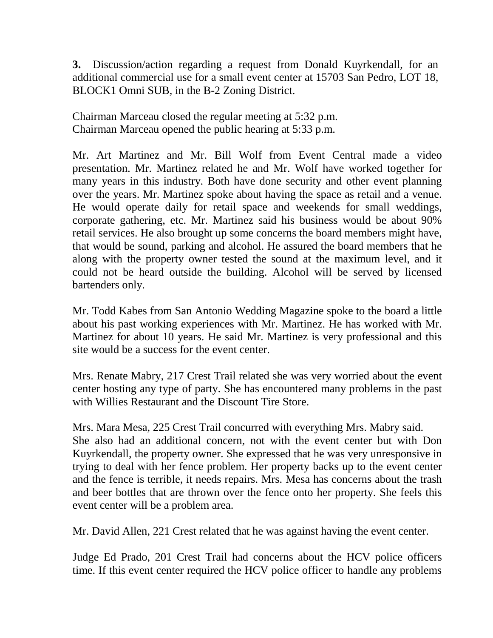**3.** Discussion/action regarding a request from Donald Kuyrkendall, for an additional commercial use for a small event center at 15703 San Pedro, LOT 18, BLOCK1 Omni SUB, in the B-2 Zoning District.

Chairman Marceau closed the regular meeting at 5:32 p.m. Chairman Marceau opened the public hearing at 5:33 p.m.

Mr. Art Martinez and Mr. Bill Wolf from Event Central made a video presentation. Mr. Martinez related he and Mr. Wolf have worked together for many years in this industry. Both have done security and other event planning over the years. Mr. Martinez spoke about having the space as retail and a venue. He would operate daily for retail space and weekends for small weddings, corporate gathering, etc. Mr. Martinez said his business would be about 90% retail services. He also brought up some concerns the board members might have, that would be sound, parking and alcohol. He assured the board members that he along with the property owner tested the sound at the maximum level, and it could not be heard outside the building. Alcohol will be served by licensed bartenders only.

Mr. Todd Kabes from San Antonio Wedding Magazine spoke to the board a little about his past working experiences with Mr. Martinez. He has worked with Mr. Martinez for about 10 years. He said Mr. Martinez is very professional and this site would be a success for the event center.

Mrs. Renate Mabry, 217 Crest Trail related she was very worried about the event center hosting any type of party. She has encountered many problems in the past with Willies Restaurant and the Discount Tire Store.

Mrs. Mara Mesa, 225 Crest Trail concurred with everything Mrs. Mabry said. She also had an additional concern, not with the event center but with Don Kuyrkendall, the property owner. She expressed that he was very unresponsive in trying to deal with her fence problem. Her property backs up to the event center and the fence is terrible, it needs repairs. Mrs. Mesa has concerns about the trash and beer bottles that are thrown over the fence onto her property. She feels this event center will be a problem area.

Mr. David Allen, 221 Crest related that he was against having the event center.

Judge Ed Prado, 201 Crest Trail had concerns about the HCV police officers time. If this event center required the HCV police officer to handle any problems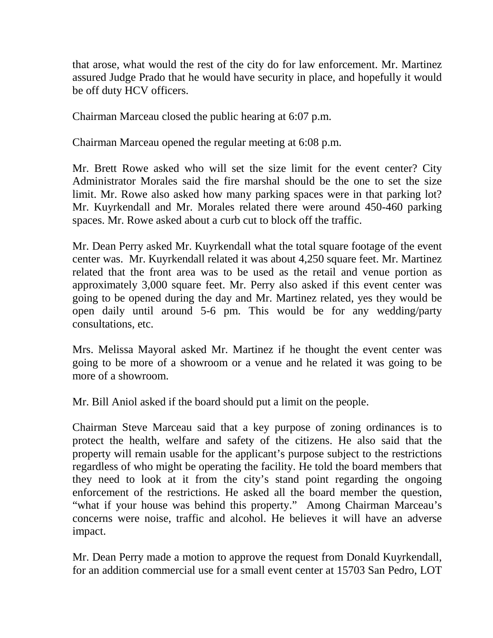that arose, what would the rest of the city do for law enforcement. Mr. Martinez assured Judge Prado that he would have security in place, and hopefully it would be off duty HCV officers.

Chairman Marceau closed the public hearing at 6:07 p.m.

Chairman Marceau opened the regular meeting at 6:08 p.m.

Mr. Brett Rowe asked who will set the size limit for the event center? City Administrator Morales said the fire marshal should be the one to set the size limit. Mr. Rowe also asked how many parking spaces were in that parking lot? Mr. Kuyrkendall and Mr. Morales related there were around 450-460 parking spaces. Mr. Rowe asked about a curb cut to block off the traffic.

Mr. Dean Perry asked Mr. Kuyrkendall what the total square footage of the event center was. Mr. Kuyrkendall related it was about 4,250 square feet. Mr. Martinez related that the front area was to be used as the retail and venue portion as approximately 3,000 square feet. Mr. Perry also asked if this event center was going to be opened during the day and Mr. Martinez related, yes they would be open daily until around 5-6 pm. This would be for any wedding/party consultations, etc.

Mrs. Melissa Mayoral asked Mr. Martinez if he thought the event center was going to be more of a showroom or a venue and he related it was going to be more of a showroom.

Mr. Bill Aniol asked if the board should put a limit on the people.

Chairman Steve Marceau said that a key purpose of zoning ordinances is to protect the health, welfare and safety of the citizens. He also said that the property will remain usable for the applicant's purpose subject to the restrictions regardless of who might be operating the facility. He told the board members that they need to look at it from the city's stand point regarding the ongoing enforcement of the restrictions. He asked all the board member the question, "what if your house was behind this property." Among Chairman Marceau's concerns were noise, traffic and alcohol. He believes it will have an adverse impact.

Mr. Dean Perry made a motion to approve the request from Donald Kuyrkendall, for an addition commercial use for a small event center at 15703 San Pedro, LOT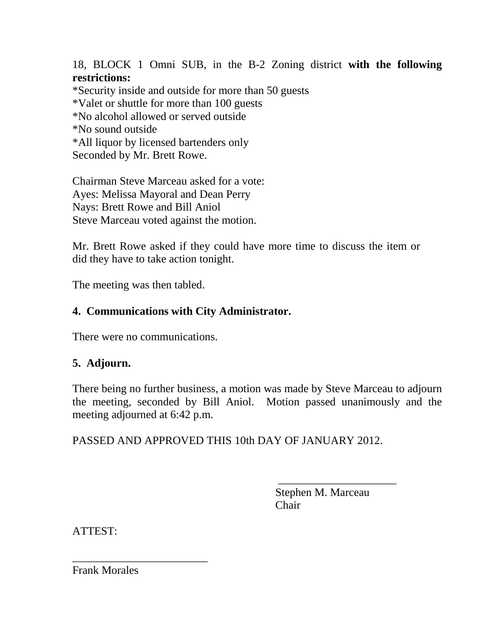18, BLOCK 1 Omni SUB, in the B-2 Zoning district **with the following restrictions:** \*Security inside and outside for more than 50 guests \*Valet or shuttle for more than 100 guests \*No alcohol allowed or served outside \*No sound outside \*All liquor by licensed bartenders only Seconded by Mr. Brett Rowe.

Chairman Steve Marceau asked for a vote: Ayes: Melissa Mayoral and Dean Perry Nays: Brett Rowe and Bill Aniol Steve Marceau voted against the motion.

Mr. Brett Rowe asked if they could have more time to discuss the item or did they have to take action tonight.

The meeting was then tabled.

### **4. Communications with City Administrator.**

There were no communications.

## **5. Adjourn.**

There being no further business, a motion was made by Steve Marceau to adjourn the meeting, seconded by Bill Aniol. Motion passed unanimously and the meeting adjourned at 6:42 p.m.

PASSED AND APPROVED THIS 10th DAY OF JANUARY 2012.

 Stephen M. Marceau Chair

\_\_\_\_\_\_\_\_\_\_\_\_\_\_\_\_\_\_\_\_\_

ATTEST:

Frank Morales

\_\_\_\_\_\_\_\_\_\_\_\_\_\_\_\_\_\_\_\_\_\_\_\_